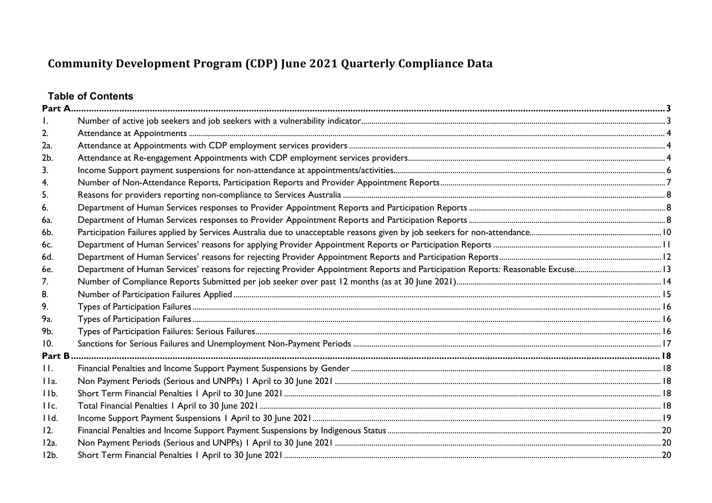## **Table of Contents**

| 2.             |  |
|----------------|--|
| 2a.            |  |
| 2b.            |  |
| 3.             |  |
| 4.             |  |
| 5.             |  |
| 6.             |  |
| 6a.            |  |
| 6b.            |  |
| 6c.            |  |
| 6d.            |  |
| 6e.            |  |
| 7.             |  |
| 8.             |  |
| 9.             |  |
| 9а.            |  |
| 9b.            |  |
| 10.            |  |
| Part B         |  |
| $\mathbf{H}$ . |  |
| IIa.           |  |
| IIb.           |  |
| IIc.           |  |
| IId.           |  |
| 12.            |  |
| 12a.           |  |
| $12b$ .        |  |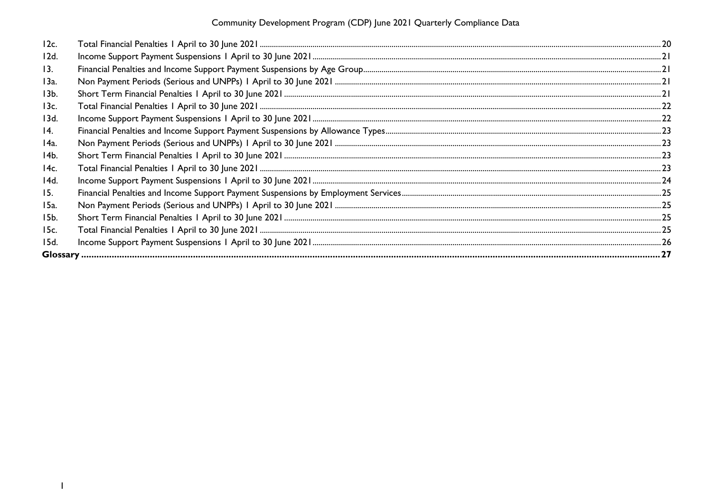Community Development Program (CDP) June 2021 Quarterly Compliance Data

| 12c.            |  |
|-----------------|--|
| 12d.            |  |
| 13.             |  |
| 13a.            |  |
| 13 <sub>b</sub> |  |
| 13c.            |  |
| 13d.            |  |
| 14.             |  |
| 14a.            |  |
| 14b.            |  |
| 14c.            |  |
| 14d.            |  |
| 15.             |  |
| 15a.            |  |
| 15b.            |  |
| 15c.            |  |
| 15d.            |  |
|                 |  |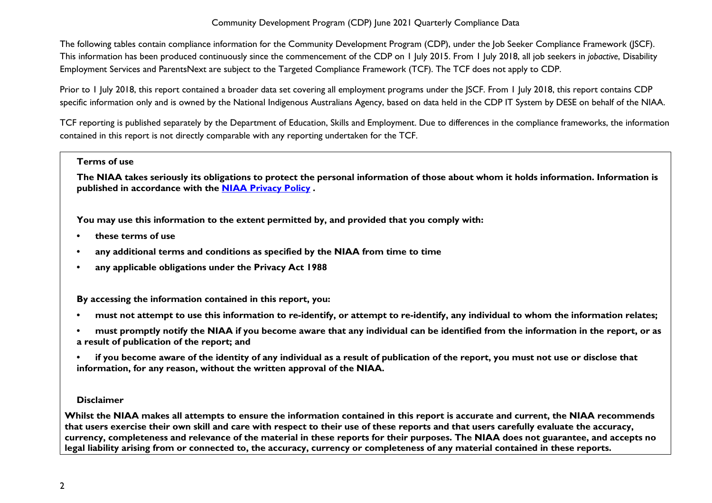The following tables contain compliance information for the Community Development Program (CDP), under the Job Seeker Compliance Framework (JSCF). This information has been produced continuously since the commencement of the CDP on 1 July 2015. From 1 July 2018, all job seekers in *jobactive*, Disability Employment Services and ParentsNext are subject to the Targeted Compliance Framework (TCF). The TCF does not apply to CDP.

Prior to 1 July 2018, this report contained a broader data set covering all employment programs under the JSCF. From 1 July 2018, this report contains CDP specific information only and is owned by the National Indigenous Australians Agency, based on data held in the CDP IT System by DESE on behalf of the NIAA.

TCF reporting is published separately by the Department of Education, Skills and Employment. Due to differences in the compliance frameworks, the information contained in this report is not directly comparable with any reporting undertaken for the TCF.

#### **Terms of use**

**The NIAA takes seriously its obligations to protect the personal information of those about whom it holds information. Information is published in accordance with the [NIAA Privacy Policy](https://www.niaa.gov.au/pmc/who-we-are/accountability-and-reporting/privacy-policy) .** 

**You may use this information to the extent permitted by, and provided that you comply with:**

- **• these terms of use**
- **• any additional terms and conditions as specified by the NIAA from time to time**
- **• any applicable obligations under the Privacy Act 1988**

**By accessing the information contained in this report, you:** 

- **• must not attempt to use this information to re-identify, or attempt to re-identify, any individual to whom the information relates;**
- **• must promptly notify the NIAA if you become aware that any individual can be identified from the information in the report, or as a result of publication of the report; and**
- **• if you become aware of the identity of any individual as a result of publication of the report, you must not use or disclose that information, for any reason, without the written approval of the NIAA.**

#### **Disclaimer**

**Whilst the NIAA makes all attempts to ensure the information contained in this report is accurate and current, the NIAA recommends that users exercise their own skill and care with respect to their use of these reports and that users carefully evaluate the accuracy, currency, completeness and relevance of the material in these reports for their purposes. The NIAA does not guarantee, and accepts no legal liability arising from or connected to, the accuracy, currency or completeness of any material contained in these reports.**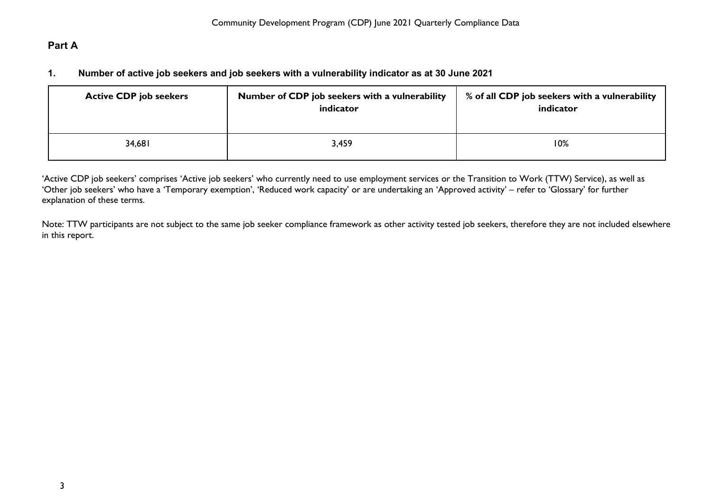### <span id="page-3-1"></span><span id="page-3-0"></span>**Part A**

#### **1. Number of active job seekers and job seekers with a vulnerability indicator as at 30 June 2021**

| <b>Active CDP job seekers</b> | Number of CDP job seekers with a vulnerability<br>indicator | % of all CDP job seekers with a vulnerability<br>indicator |
|-------------------------------|-------------------------------------------------------------|------------------------------------------------------------|
| 34,681                        | 3,459                                                       | 10%                                                        |

'Active CDP job seekers' comprises 'Active job seekers' who currently need to use employment services or the Transition to Work (TTW) Service), as well as 'Other job seekers' who have a 'Temporary exemption', 'Reduced work capacity' or are undertaking an 'Approved activity' – refer to 'Glossary' for further explanation of these terms.

Note: TTW participants are not subject to the same job seeker compliance framework as other activity tested job seekers, therefore they are not included elsewhere in this report.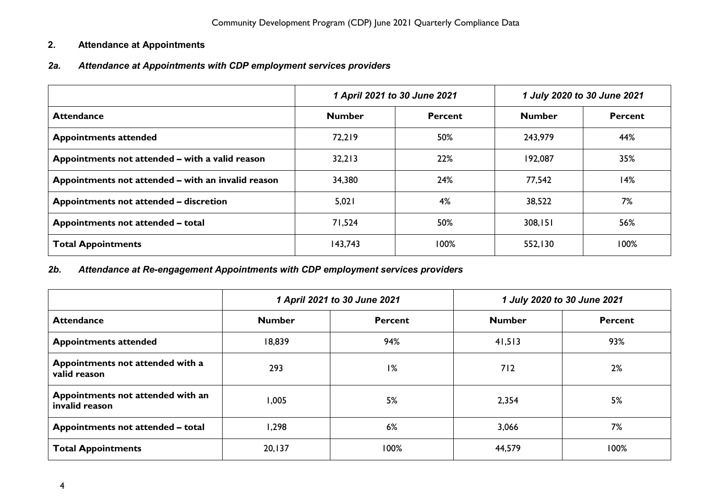### <span id="page-4-0"></span>**2. Attendance at Appointments**

### <span id="page-4-1"></span>*2a. Attendance at Appointments with CDP employment services providers*

|                                                    | 1 April 2021 to 30 June 2021 |                |               | 1 July 2020 to 30 June 2021 |
|----------------------------------------------------|------------------------------|----------------|---------------|-----------------------------|
| <b>Attendance</b>                                  | <b>Number</b>                | <b>Percent</b> | <b>Number</b> | <b>Percent</b>              |
| <b>Appointments attended</b>                       | 72,219                       | 50%            | 243,979       | 44%                         |
| Appointments not attended - with a valid reason    | 32,213                       | 22%            | 192,087       | 35%                         |
| Appointments not attended – with an invalid reason | 34,380                       | 24%            | 77,542        | 14%                         |
| Appointments not attended - discretion             | 5,021                        | 4%             | 38,522        | 7%                          |
| Appointments not attended - total                  | 71,524                       | 50%            | 308,151       | 56%                         |
| <b>Total Appointments</b>                          | 143,743                      | 100%           | 552,130       | 100%                        |

### <span id="page-4-2"></span>*2b. Attendance at Re-engagement Appointments with CDP employment services providers*

|                                                     | 1 April 2021 to 30 June 2021 |                |               | 1 July 2020 to 30 June 2021 |
|-----------------------------------------------------|------------------------------|----------------|---------------|-----------------------------|
| <b>Attendance</b>                                   | <b>Number</b>                | <b>Percent</b> | <b>Number</b> | <b>Percent</b>              |
| <b>Appointments attended</b>                        | 18,839                       | 94%            | 41,513        | 93%                         |
| Appointments not attended with a<br>valid reason    | 293                          | 1%             | 712           | 2%                          |
| Appointments not attended with an<br>invalid reason | 1,005                        | 5%             | 2,354         | 5%                          |
| Appointments not attended - total                   | 1,298                        | 6%             | 3,066         | 7%                          |
| <b>Total Appointments</b>                           | 20, 137                      | 100%           | 44,579        | 100%                        |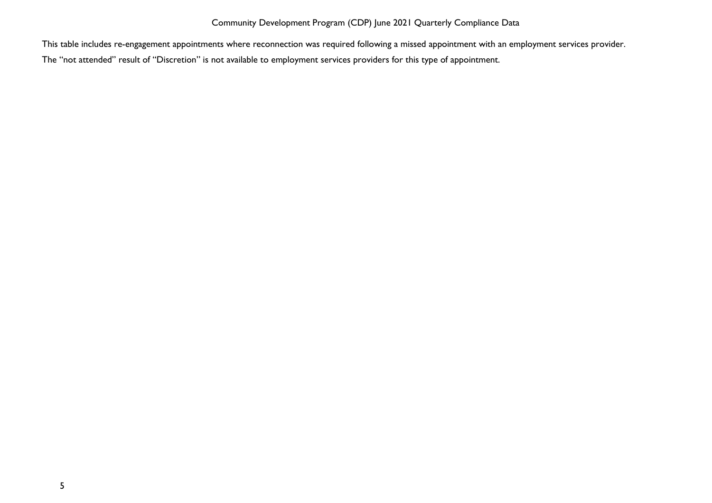This table includes re-engagement appointments where reconnection was required following a missed appointment with an employment services provider.

The "not attended" result of "Discretion" is not available to employment services providers for this type of appointment.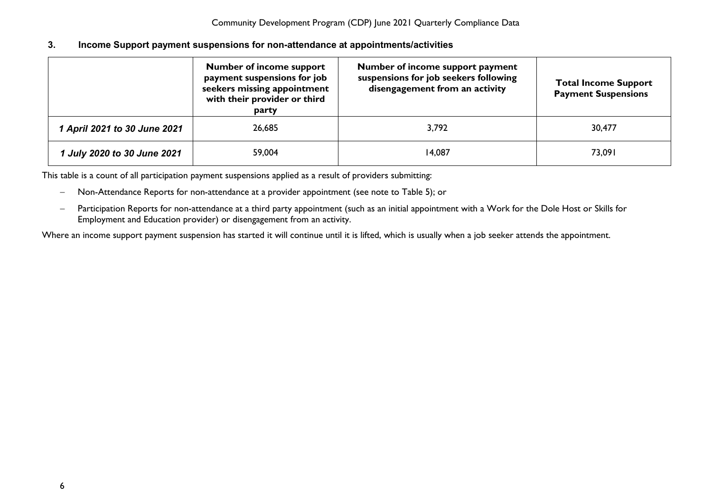#### <span id="page-6-0"></span>**3. Income Support payment suspensions for non-attendance at appointments/activities**

|                              | <b>Number of income support</b><br>payment suspensions for job<br>seekers missing appointment<br>with their provider or third<br>party | Number of income support payment<br>suspensions for job seekers following<br>disengagement from an activity | <b>Total Income Support</b><br><b>Payment Suspensions</b> |
|------------------------------|----------------------------------------------------------------------------------------------------------------------------------------|-------------------------------------------------------------------------------------------------------------|-----------------------------------------------------------|
| 1 April 2021 to 30 June 2021 | 26,685                                                                                                                                 | 3,792                                                                                                       | 30,477                                                    |
| 1 July 2020 to 30 June 2021  | 59,004                                                                                                                                 | 14,087                                                                                                      | 73,091                                                    |

This table is a count of all participation payment suspensions applied as a result of providers submitting:

- − Non-Attendance Reports for non-attendance at a provider appointment (see note to Table 5); or
- − Participation Reports for non-attendance at a third party appointment (such as an initial appointment with a Work for the Dole Host or Skills for Employment and Education provider) or disengagement from an activity.

Where an income support payment suspension has started it will continue until it is lifted, which is usually when a job seeker attends the appointment.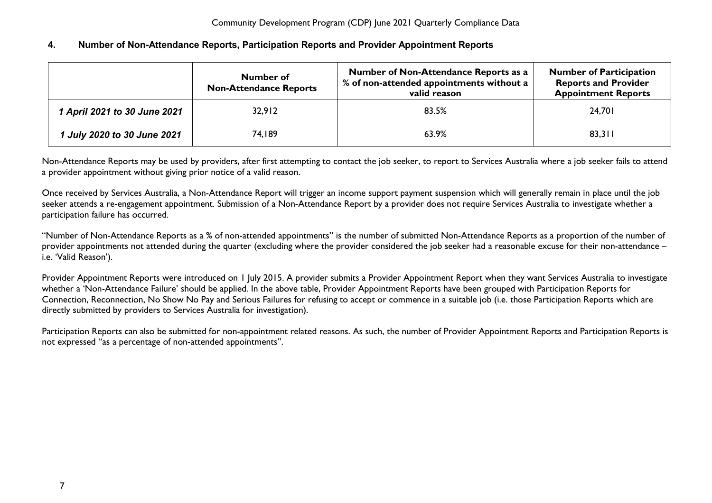#### <span id="page-7-0"></span>**4. Number of Non-Attendance Reports, Participation Reports and Provider Appointment Reports**

| Number of<br><b>Non-Attendance Reports</b> |        | Number of Non-Attendance Reports as a<br>% of non-attended appointments without a<br>valid reason | <b>Number of Participation</b><br><b>Reports and Provider</b><br><b>Appointment Reports</b> |  |
|--------------------------------------------|--------|---------------------------------------------------------------------------------------------------|---------------------------------------------------------------------------------------------|--|
| 1 April 2021 to 30 June 2021               | 32,912 | 83.5%                                                                                             | 24,701                                                                                      |  |
| 1 July 2020 to 30 June 2021                | 74,189 | 63.9%                                                                                             | 83,311                                                                                      |  |

Non-Attendance Reports may be used by providers, after first attempting to contact the job seeker, to report to Services Australia where a job seeker fails to attend a provider appointment without giving prior notice of a valid reason.

Once received by Services Australia, a Non-Attendance Report will trigger an income support payment suspension which will generally remain in place until the job seeker attends a re-engagement appointment. Submission of a Non-Attendance Report by a provider does not require Services Australia to investigate whether a participation failure has occurred.

"Number of Non-Attendance Reports as a % of non-attended appointments" is the number of submitted Non-Attendance Reports as a proportion of the number of provider appointments not attended during the quarter (excluding where the provider considered the job seeker had a reasonable excuse for their non-attendance – i.e. 'Valid Reason').

Provider Appointment Reports were introduced on 1 July 2015. A provider submits a Provider Appointment Report when they want Services Australia to investigate whether a 'Non-Attendance Failure' should be applied. In the above table, Provider Appointment Reports have been grouped with Participation Reports for Connection, Reconnection, No Show No Pay and Serious Failures for refusing to accept or commence in a suitable job (i.e. those Participation Reports which are directly submitted by providers to Services Australia for investigation).

Participation Reports can also be submitted for non-appointment related reasons. As such, the number of Provider Appointment Reports and Participation Reports is not expressed "as a percentage of non-attended appointments".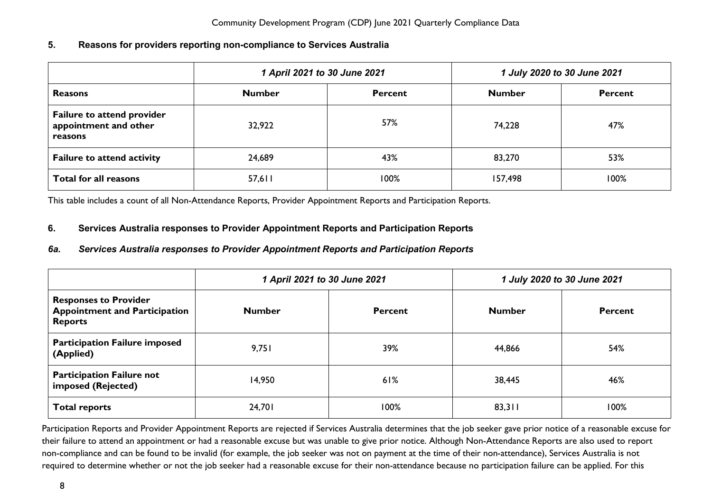#### <span id="page-8-0"></span>**5. Reasons for providers reporting non-compliance to Services Australia**

|                                                                       | 1 April 2021 to 30 June 2021 |                | 1 July 2020 to 30 June 2021 |                |
|-----------------------------------------------------------------------|------------------------------|----------------|-----------------------------|----------------|
| <b>Reasons</b>                                                        | <b>Number</b>                | <b>Percent</b> | <b>Number</b>               | <b>Percent</b> |
| <b>Failure to attend provider</b><br>appointment and other<br>reasons | 32,922                       | 57%            | 74,228                      | 47%            |
| <b>Failure to attend activity</b>                                     | 24,689                       | 43%            | 83,270                      | 53%            |
| <b>Total for all reasons</b>                                          | 57,611                       | 100%           | 157,498                     | 100%           |

This table includes a count of all Non-Attendance Reports, Provider Appointment Reports and Participation Reports.

#### <span id="page-8-1"></span>**6. Services Australia responses to Provider Appointment Reports and Participation Reports**

### <span id="page-8-2"></span>*6a. Services Australia responses to Provider Appointment Reports and Participation Reports*

|                                                                                        | 1 April 2021 to 30 June 2021 |                | 1 July 2020 to 30 June 2021 |         |
|----------------------------------------------------------------------------------------|------------------------------|----------------|-----------------------------|---------|
| <b>Responses to Provider</b><br><b>Appointment and Participation</b><br><b>Reports</b> | <b>Number</b>                | <b>Percent</b> | <b>Number</b>               | Percent |
| <b>Participation Failure imposed</b><br>(Applied)                                      | 9,751                        | 39%            | 44,866                      | 54%     |
| <b>Participation Failure not</b><br>imposed (Rejected)                                 | 14,950                       | 61%            | 38,445                      | 46%     |
| <b>Total reports</b>                                                                   | 24,701                       | 100%           | 83,311                      | 100%    |

Participation Reports and Provider Appointment Reports are rejected if Services Australia determines that the job seeker gave prior notice of a reasonable excuse for their failure to attend an appointment or had a reasonable excuse but was unable to give prior notice. Although Non-Attendance Reports are also used to report non-compliance and can be found to be invalid (for example, the job seeker was not on payment at the time of their non-attendance), Services Australia is not required to determine whether or not the job seeker had a reasonable excuse for their non-attendance because no participation failure can be applied. For this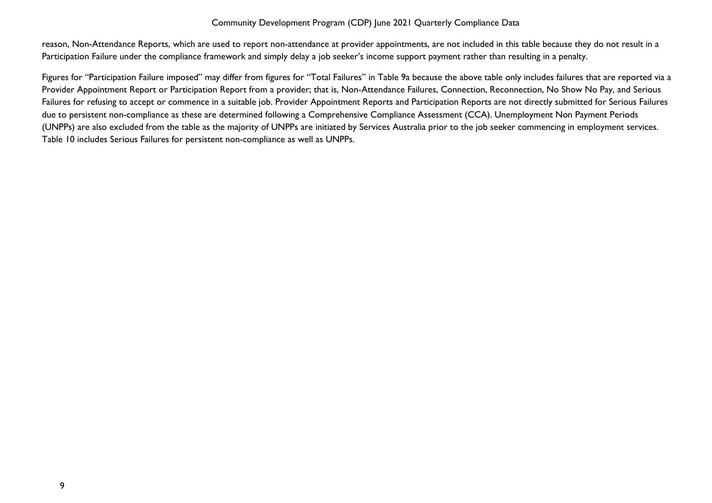reason, Non-Attendance Reports, which are used to report non-attendance at provider appointments, are not included in this table because they do not result in a Participation Failure under the compliance framework and simply delay a job seeker's income support payment rather than resulting in a penalty.

Figures for "Participation Failure imposed" may differ from figures for "Total Failures" in Table 9a because the above table only includes failures that are reported via a Provider Appointment Report or Participation Report from a provider; that is, Non-Attendance Failures, Connection, Reconnection, No Show No Pay, and Serious Failures for refusing to accept or commence in a suitable job. Provider Appointment Reports and Participation Reports are not directly submitted for Serious Failures due to persistent non-compliance as these are determined following a Comprehensive Compliance Assessment (CCA). Unemployment Non Payment Periods (UNPPs) are also excluded from the table as the majority of UNPPs are initiated by Services Australia prior to the job seeker commencing in employment services. Table 10 includes Serious Failures for persistent non-compliance as well as UNPPs.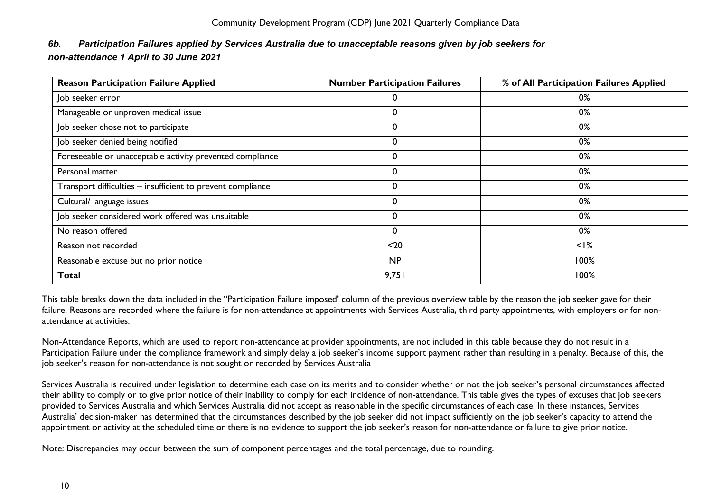### <span id="page-10-0"></span>*6b. Participation Failures applied by Services Australia due to unacceptable reasons given by job seekers for non-attendance 1 April to 30 June 2021*

| <b>Reason Participation Failure Applied</b>                 | <b>Number Participation Failures</b> | % of All Participation Failures Applied |
|-------------------------------------------------------------|--------------------------------------|-----------------------------------------|
| Job seeker error                                            |                                      | 0%                                      |
| Manageable or unproven medical issue                        |                                      | 0%                                      |
| Job seeker chose not to participate                         | 0                                    | 0%                                      |
| Job seeker denied being notified                            |                                      | 0%                                      |
| Foreseeable or unacceptable activity prevented compliance   | 0                                    | 0%                                      |
| Personal matter                                             | $\Omega$                             | 0%                                      |
| Transport difficulties - insufficient to prevent compliance | 0                                    | 0%                                      |
| Cultural/ language issues                                   | 0                                    | 0%                                      |
| Job seeker considered work offered was unsuitable           | $\Omega$                             | 0%                                      |
| No reason offered                                           |                                      | 0%                                      |
| Reason not recorded                                         | $20$                                 | $<$ I%                                  |
| Reasonable excuse but no prior notice                       | NP                                   | 100%                                    |
| <b>Total</b>                                                | 9,751                                | 100%                                    |

This table breaks down the data included in the "Participation Failure imposed' column of the previous overview table by the reason the job seeker gave for their failure. Reasons are recorded where the failure is for non-attendance at appointments with Services Australia, third party appointments, with employers or for nonattendance at activities.

Non-Attendance Reports, which are used to report non-attendance at provider appointments, are not included in this table because they do not result in a Participation Failure under the compliance framework and simply delay a job seeker's income support payment rather than resulting in a penalty. Because of this, the job seeker's reason for non-attendance is not sought or recorded by Services Australia

Services Australia is required under legislation to determine each case on its merits and to consider whether or not the job seeker's personal circumstances affected their ability to comply or to give prior notice of their inability to comply for each incidence of non-attendance. This table gives the types of excuses that job seekers provided to Services Australia and which Services Australia did not accept as reasonable in the specific circumstances of each case. In these instances, Services Australia' decision-maker has determined that the circumstances described by the job seeker did not impact sufficiently on the job seeker's capacity to attend the appointment or activity at the scheduled time or there is no evidence to support the job seeker's reason for non-attendance or failure to give prior notice.

Note: Discrepancies may occur between the sum of component percentages and the total percentage, due to rounding.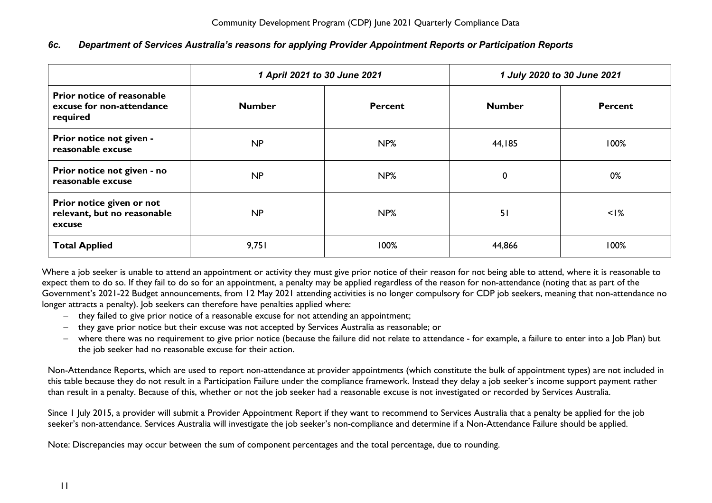#### <span id="page-11-0"></span>*6c. Department of Services Australia's reasons for applying Provider Appointment Reports or Participation Reports*

|                                                                     | 1 April 2021 to 30 June 2021 |                 | 1 July 2020 to 30 June 2021 |                |
|---------------------------------------------------------------------|------------------------------|-----------------|-----------------------------|----------------|
| Prior notice of reasonable<br>excuse for non-attendance<br>required | <b>Number</b>                | <b>Percent</b>  | <b>Number</b>               | <b>Percent</b> |
| Prior notice not given -<br>reasonable excuse                       | <b>NP</b>                    | NP%             | 44,185                      | 100%           |
| Prior notice not given - no<br>reasonable excuse                    | <b>NP</b>                    | NP%             | $\mathbf 0$                 | 0%             |
| Prior notice given or not<br>relevant, but no reasonable<br>excuse  | NP                           | NP <sub>%</sub> | 51                          | $<$ I%         |
| <b>Total Applied</b>                                                | 9,751                        | 100%            | 44,866                      | 100%           |

Where a job seeker is unable to attend an appointment or activity they must give prior notice of their reason for not being able to attend, where it is reasonable to expect them to do so. If they fail to do so for an appointment, a penalty may be applied regardless of the reason for non-attendance (noting that a*s* part of the Government's 2021-22 Budget announcements, from 12 May 2021 attending activities is no longer compulsory for CDP job seekers, meaning that non-attendance no longer attracts a penalty). Job seekers can therefore have penalties applied where:

- − they failed to give prior notice of a reasonable excuse for not attending an appointment;
- − they gave prior notice but their excuse was not accepted by Services Australia as reasonable; or
- − where there was no requirement to give prior notice (because the failure did not relate to attendance for example, a failure to enter into a Job Plan) but the job seeker had no reasonable excuse for their action.

Non-Attendance Reports, which are used to report non-attendance at provider appointments (which constitute the bulk of appointment types) are not included in this table because they do not result in a Participation Failure under the compliance framework. Instead they delay a job seeker's income support payment rather than result in a penalty. Because of this, whether or not the job seeker had a reasonable excuse is not investigated or recorded by Services Australia.

Since 1 July 2015, a provider will submit a Provider Appointment Report if they want to recommend to Services Australia that a penalty be applied for the job seeker's non-attendance. Services Australia will investigate the job seeker's non-compliance and determine if a Non-Attendance Failure should be applied.

Note: Discrepancies may occur between the sum of component percentages and the total percentage, due to rounding.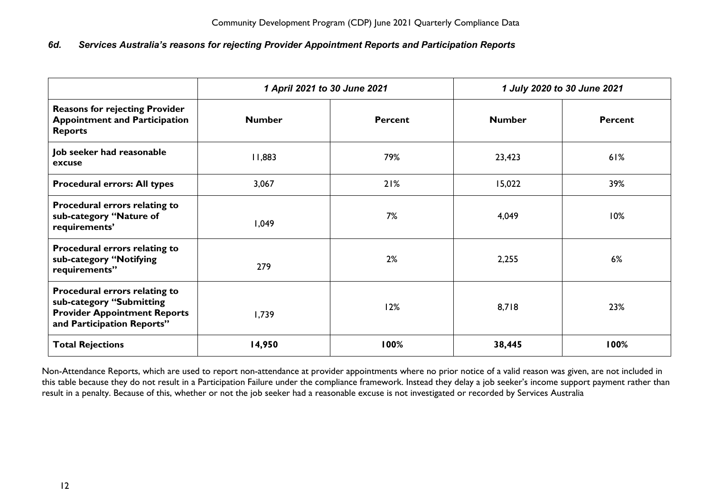#### <span id="page-12-0"></span>*6d. Services Australia's reasons for rejecting Provider Appointment Reports and Participation Reports*

|                                                                                                                                | 1 April 2021 to 30 June 2021 |                | 1 July 2020 to 30 June 2021 |                |
|--------------------------------------------------------------------------------------------------------------------------------|------------------------------|----------------|-----------------------------|----------------|
| <b>Reasons for rejecting Provider</b><br><b>Appointment and Participation</b><br><b>Reports</b>                                | <b>Number</b>                | <b>Percent</b> | <b>Number</b>               | <b>Percent</b> |
| Job seeker had reasonable<br>excuse                                                                                            | 11,883                       | 79%            | 23,423                      | 61%            |
| <b>Procedural errors: All types</b>                                                                                            | 3,067                        | 21%            | 15,022                      | 39%            |
| Procedural errors relating to<br>sub-category "Nature of<br>requirements'                                                      | 1,049                        | 7%             | 4,049                       | 10%            |
| Procedural errors relating to<br>sub-category "Notifying<br>requirements"                                                      | 279                          | 2%             | 2,255                       | 6%             |
| Procedural errors relating to<br>sub-category "Submitting<br><b>Provider Appointment Reports</b><br>and Participation Reports" | 1,739                        | 12%            | 8,718                       | 23%            |
| <b>Total Rejections</b>                                                                                                        | 14,950                       | 100%           | 38,445                      | 100%           |

Non-Attendance Reports, which are used to report non-attendance at provider appointments where no prior notice of a valid reason was given, are not included in this table because they do not result in a Participation Failure under the compliance framework. Instead they delay a job seeker's income support payment rather than result in a penalty. Because of this, whether or not the job seeker had a reasonable excuse is not investigated or recorded by Services Australia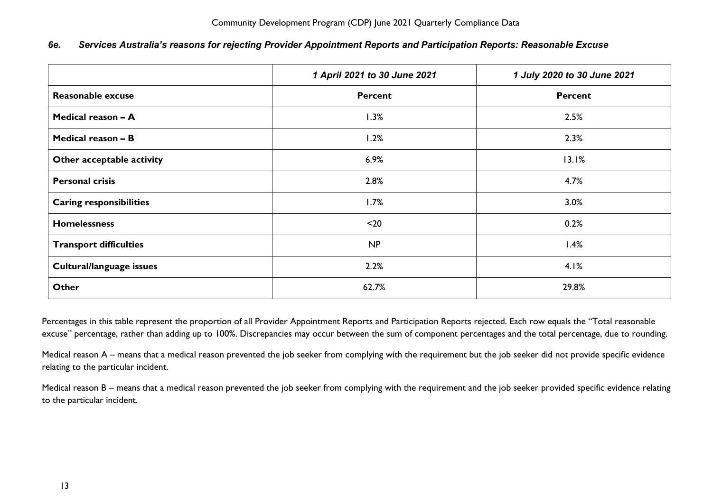<span id="page-13-0"></span>

|  | 6e. Services Australia's reasons for rejecting Provider Appointment Reports and Participation Reports: Reasonable Excuse |  |  |  |  |
|--|--------------------------------------------------------------------------------------------------------------------------|--|--|--|--|
|--|--------------------------------------------------------------------------------------------------------------------------|--|--|--|--|

|                                | 1 April 2021 to 30 June 2021 | 1 July 2020 to 30 June 2021 |
|--------------------------------|------------------------------|-----------------------------|
| <b>Reasonable excuse</b>       | <b>Percent</b>               | <b>Percent</b>              |
| Medical reason - A             | 1.3%                         | 2.5%                        |
| Medical reason - B             | 1.2%                         | 2.3%                        |
| Other acceptable activity      | 6.9%                         | 13.1%                       |
| <b>Personal crisis</b>         | 2.8%                         | 4.7%                        |
| <b>Caring responsibilities</b> | 1.7%                         | 3.0%                        |
| <b>Homelessness</b>            | $20$                         | 0.2%                        |
| <b>Transport difficulties</b>  | NP                           | 1.4%                        |
| Cultural/language issues       | 2.2%                         | 4.1%                        |
| <b>Other</b>                   | 62.7%                        | 29.8%                       |

Percentages in this table represent the proportion of all Provider Appointment Reports and Participation Reports rejected. Each row equals the "Total reasonable excuse" percentage, rather than adding up to 100%. Discrepancies may occur between the sum of component percentages and the total percentage, due to rounding.

Medical reason A – means that a medical reason prevented the job seeker from complying with the requirement but the job seeker did not provide specific evidence relating to the particular incident.

Medical reason B – means that a medical reason prevented the job seeker from complying with the requirement and the job seeker provided specific evidence relating to the particular incident.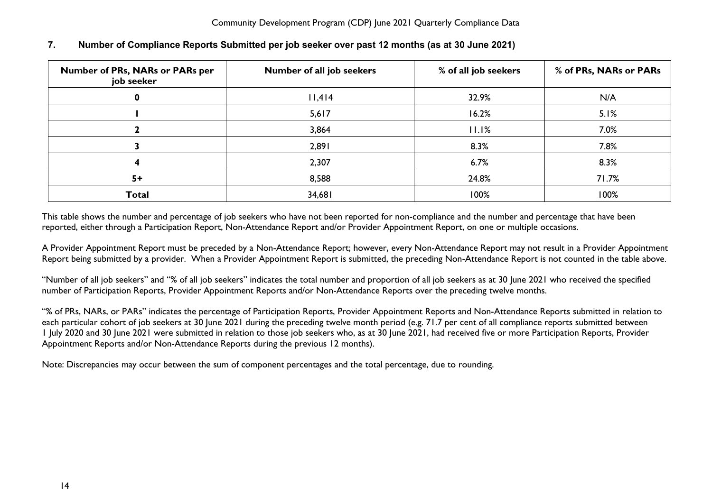| Number of PRs, NARs or PARs per<br>job seeker | Number of all job seekers | % of all job seekers | % of PRs, NARs or PARs |
|-----------------------------------------------|---------------------------|----------------------|------------------------|
|                                               | 11,414                    | 32.9%                | N/A                    |
|                                               | 5,617                     | 16.2%                | 5.1%                   |
|                                               | 3,864                     | 11.1%                | 7.0%                   |
|                                               | 2,891                     | 8.3%                 | 7.8%                   |
|                                               | 2,307                     | 6.7%                 | 8.3%                   |
| $5+$                                          | 8,588                     | 24.8%                | 71.7%                  |
| <b>Total</b>                                  | 34,681                    | 100%                 | 100%                   |

#### <span id="page-14-0"></span>**7. Number of Compliance Reports Submitted per job seeker over past 12 months (as at 30 June 2021)**

This table shows the number and percentage of job seekers who have not been reported for non-compliance and the number and percentage that have been reported, either through a Participation Report, Non-Attendance Report and/or Provider Appointment Report, on one or multiple occasions.

A Provider Appointment Report must be preceded by a Non-Attendance Report; however, every Non-Attendance Report may not result in a Provider Appointment Report being submitted by a provider. When a Provider Appointment Report is submitted, the preceding Non-Attendance Report is not counted in the table above.

"Number of all job seekers" and "% of all job seekers" indicates the total number and proportion of all job seekers as at 30 June 2021 who received the specified number of Participation Reports, Provider Appointment Reports and/or Non-Attendance Reports over the preceding twelve months.

"% of PRs, NARs, or PARs" indicates the percentage of Participation Reports, Provider Appointment Reports and Non-Attendance Reports submitted in relation to each particular cohort of job seekers at 30 June 2021 during the preceding twelve month period (e.g. 71.7 per cent of all compliance reports submitted between 1 July 2020 and 30 June 2021 were submitted in relation to those job seekers who, as at 30 June 2021, had received five or more Participation Reports, Provider Appointment Reports and/or Non-Attendance Reports during the previous 12 months).

Note: Discrepancies may occur between the sum of component percentages and the total percentage, due to rounding.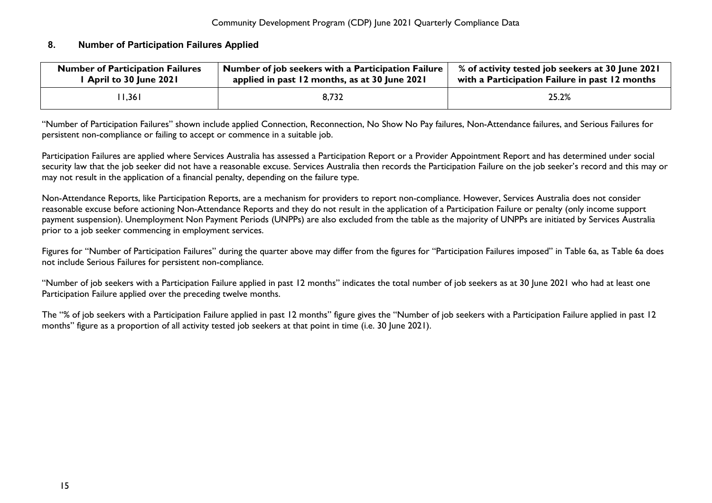#### <span id="page-15-0"></span>**8. Number of Participation Failures Applied**

| <b>Number of Participation Failures</b> | Number of job seekers with a Participation Failure | % of activity tested job seekers at 30 June 2021 |
|-----------------------------------------|----------------------------------------------------|--------------------------------------------------|
| April to 30 June 2021                   | applied in past 12 months, as at 30 June 2021      | with a Participation Failure in past 12 months   |
| 1,361                                   | 8,732                                              | 25.2%                                            |

"Number of Participation Failures" shown include applied Connection, Reconnection, No Show No Pay failures, Non-Attendance failures, and Serious Failures for persistent non-compliance or failing to accept or commence in a suitable job.

Participation Failures are applied where Services Australia has assessed a Participation Report or a Provider Appointment Report and has determined under social security law that the job seeker did not have a reasonable excuse. Services Australia then records the Participation Failure on the job seeker's record and this may or may not result in the application of a financial penalty, depending on the failure type.

Non-Attendance Reports, like Participation Reports, are a mechanism for providers to report non-compliance. However, Services Australia does not consider reasonable excuse before actioning Non-Attendance Reports and they do not result in the application of a Participation Failure or penalty (only income support payment suspension). Unemployment Non Payment Periods (UNPPs) are also excluded from the table as the majority of UNPPs are initiated by Services Australia prior to a job seeker commencing in employment services.

Figures for "Number of Participation Failures" during the quarter above may differ from the figures for "Participation Failures imposed" in Table 6a, as Table 6a does not include Serious Failures for persistent non-compliance.

"Number of job seekers with a Participation Failure applied in past 12 months" indicates the total number of job seekers as at 30 June 2021 who had at least one Participation Failure applied over the preceding twelve months.

The "% of job seekers with a Participation Failure applied in past 12 months" figure gives the "Number of job seekers with a Participation Failure applied in past 12 months" figure as a proportion of all activity tested job seekers at that point in time (i.e. 30 June 2021).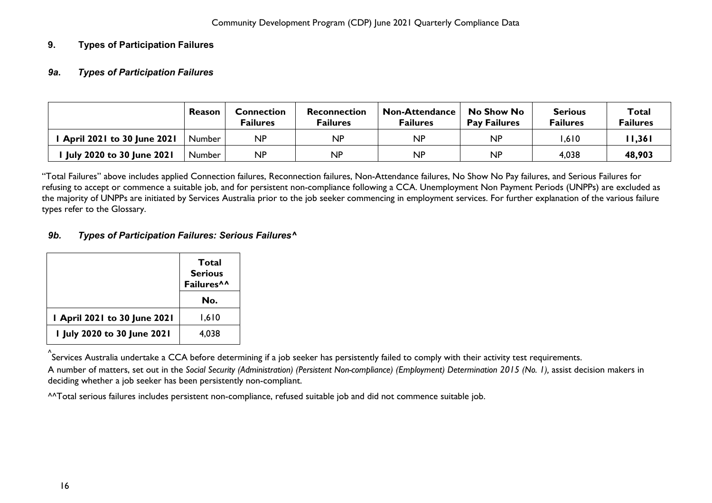### <span id="page-16-1"></span><span id="page-16-0"></span>**9. Types of Participation Failures**

#### *9a***.** *Types of Participation Failures*

|                                   | Reason        | <b>Connection</b><br>Failures | Reconnection<br><b>Failures</b> | <b>Non-Attendance</b><br>Failures | No Show No<br><b>Pay Failures</b> | <b>Serious</b><br>Failures | Total<br><b>Failures</b> |
|-----------------------------------|---------------|-------------------------------|---------------------------------|-----------------------------------|-----------------------------------|----------------------------|--------------------------|
| <b>April 2021 to 30 June 2021</b> | Number        | <b>NP</b>                     | NP                              | NP                                | NΡ                                | .610                       | 11,361                   |
| <b>July 2020 to 30 June 2021</b>  | <b>Number</b> | <b>NP</b>                     | <b>NP</b>                       | <b>NP</b>                         | <b>NP</b>                         | 4,038                      | 48,903                   |

"Total Failures" above includes applied Connection failures, Reconnection failures, Non-Attendance failures, No Show No Pay failures, and Serious Failures for refusing to accept or commence a suitable job, and for persistent non-compliance following a CCA. Unemployment Non Payment Periods (UNPPs) are excluded as the majority of UNPPs are initiated by Services Australia prior to the job seeker commencing in employment services. For further explanation of the various failure types refer to the Glossary.

#### <span id="page-16-2"></span>*9b. Types of Participation Failures: Serious Failures^*

|                             | Total<br><b>Serious</b><br>Failures^^<br>No. |
|-----------------------------|----------------------------------------------|
| April 2021 to 30 June 2021  | 1,610                                        |
| I July 2020 to 30 June 2021 | 4.038                                        |

^ Services Australia undertake a CCA before determining if a job seeker has persistently failed to comply with their activity test requirements. A number of matters, set out in the *Social Security (Administration) (Persistent Non-compliance) (Employment) Determination 2015 (No. 1),* assist decision makers in deciding whether a job seeker has been persistently non-compliant.

^^Total serious failures includes persistent non-compliance, refused suitable job and did not commence suitable job.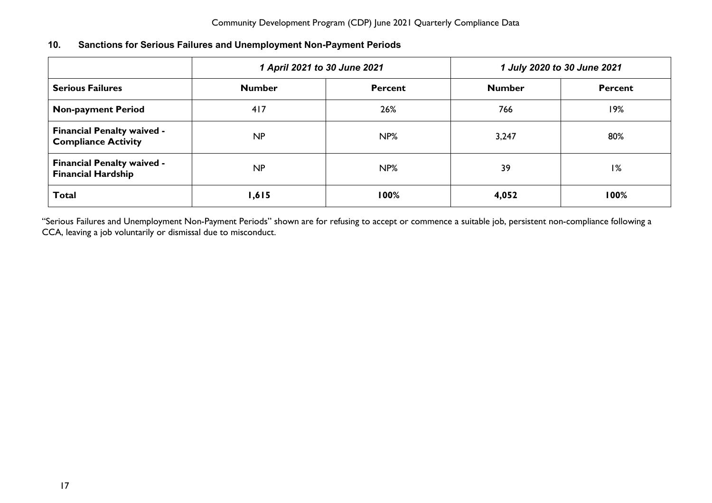<span id="page-17-0"></span>

| 10. | <b>Sanctions for Serious Failures and Unemployment Non-Payment Periods</b> |  |
|-----|----------------------------------------------------------------------------|--|
|-----|----------------------------------------------------------------------------|--|

|                                                                 | 1 April 2021 to 30 June 2021 |                | 1 July 2020 to 30 June 2021 |         |  |
|-----------------------------------------------------------------|------------------------------|----------------|-----------------------------|---------|--|
| <b>Serious Failures</b>                                         | <b>Number</b>                | <b>Percent</b> | <b>Number</b>               | Percent |  |
| <b>Non-payment Period</b>                                       | 417                          | 26%            | 766                         | 19%     |  |
| <b>Financial Penalty waived -</b><br><b>Compliance Activity</b> | NP                           | NP%            | 3,247                       | 80%     |  |
| <b>Financial Penalty waived -</b><br><b>Financial Hardship</b>  | NP                           | NP%            | 39                          | 1%      |  |
| <b>Total</b>                                                    | 1,615                        | 100%           | 4,052                       | 100%    |  |

"Serious Failures and Unemployment Non-Payment Periods" shown are for refusing to accept or commence a suitable job, persistent non-compliance following a CCA, leaving a job voluntarily or dismissal due to misconduct.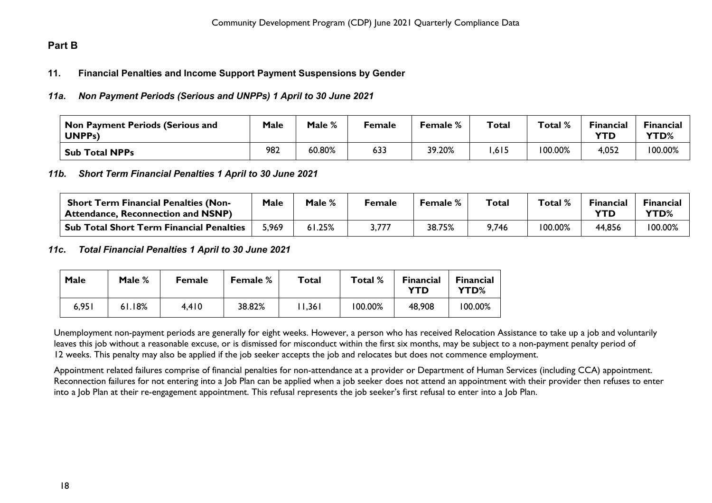### <span id="page-18-1"></span><span id="page-18-0"></span>**Part B**

#### **11. Financial Penalties and Income Support Payment Suspensions by Gender**

#### <span id="page-18-2"></span>*11a. Non Payment Periods (Serious and UNPPs) 1 April to 30 June 2021*

| Non Payment Periods (Serious and<br>UNPP <sub>S</sub> ) | <b>Male</b> | Male % | <sup>=</sup> emale | <b>Female</b> % | <b>Total</b> | Total % | <b>Financial</b><br>YTD | <b>Financial</b><br><b>YTD%</b> |
|---------------------------------------------------------|-------------|--------|--------------------|-----------------|--------------|---------|-------------------------|---------------------------------|
| <b>Sub Total NPPs</b>                                   | 982         | 60.80% | 633                | 39.20%          | ,615         | 100.00% | 4,052                   | 100.00%                         |

#### <span id="page-18-3"></span>*11b. Short Term Financial Penalties 1 April to 30 June 2021*

| <b>Short Term Financial Penalties (Non-</b><br><sup>1</sup> Attendance, Reconnection and NSNP) | Male  | Male % | Female | Female % | Total | Total % | Financial | <b>Financial</b><br>YTD% |
|------------------------------------------------------------------------------------------------|-------|--------|--------|----------|-------|---------|-----------|--------------------------|
| <b>Sub Total Short Term Financial Penalties</b>                                                | 5,969 | 1.25%، | 3,777  | 38.75%   | 9,746 | 100.00% | 44,856    | 100.00%                  |

#### <span id="page-18-4"></span>*11c***.** *Total Financial Penalties 1 April to 30 June 2021*

| Male  | Male % | <b>Female</b> | <b>Female</b> % | Total | Total % | <b>Financial</b><br>YTD | <b>Financial</b><br>YTD% |
|-------|--------|---------------|-----------------|-------|---------|-------------------------|--------------------------|
| 6,951 | 61.18% | 4,410         | 38.82%          | 1,361 | 100.00% | 48,908                  | 100.00%                  |

Unemployment non-payment periods are generally for eight weeks. However, a person who has received Relocation Assistance to take up a job and voluntarily leaves this job without a reasonable excuse, or is dismissed for misconduct within the first six months, may be subject to a non-payment penalty period of 12 weeks. This penalty may also be applied if the job seeker accepts the job and relocates but does not commence employment.

Appointment related failures comprise of financial penalties for non-attendance at a provider or Department of Human Services (including CCA) appointment. Reconnection failures for not entering into a Job Plan can be applied when a job seeker does not attend an appointment with their provider then refuses to enter into a Job Plan at their re-engagement appointment. This refusal represents the job seeker's first refusal to enter into a Job Plan.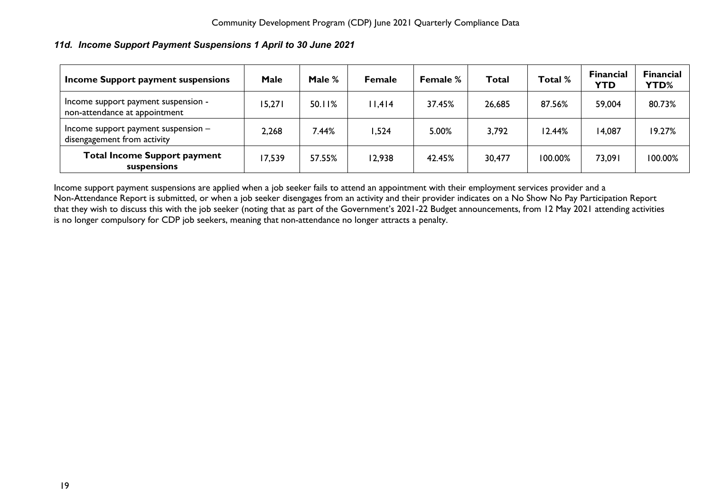#### <span id="page-19-0"></span>*11d. Income Support Payment Suspensions 1 April to 30 June 2021*

| Income Support payment suspensions                                   | <b>Male</b> | Male % | <b>Female</b> | Female % | Total  | Total % | <b>Financial</b><br><b>YTD</b> | <b>Financial</b><br><b>YTD%</b> |
|----------------------------------------------------------------------|-------------|--------|---------------|----------|--------|---------|--------------------------------|---------------------------------|
| Income support payment suspension -<br>non-attendance at appointment | 15,271      | 50.11% | 11,414        | 37.45%   | 26,685 | 87.56%  | 59,004                         | 80.73%                          |
| Income support payment suspension $-$<br>disengagement from activity | 2,268       | 44%.   | 524, ا        | 5.00%    | 3,792  | 12.44%  | 14,087                         | 19.27%                          |
| <b>Total Income Support payment</b><br>suspensions                   | 17,539      | 57.55% | 12,938        | 42.45%   | 30,477 | 100.00% | 73,091                         | 100.00%                         |

Income support payment suspensions are applied when a job seeker fails to attend an appointment with their employment services provider and a Non-Attendance Report is submitted, or when a job seeker disengages from an activity and their provider indicates on a No Show No Pay Participation Report that they wish to discuss this with the job seeker (noting that a*s* part of the Government's 2021-22 Budget announcements, from 12 May 2021 attending activities is no longer compulsory for CDP job seekers, meaning that non-attendance no longer attracts a penalty.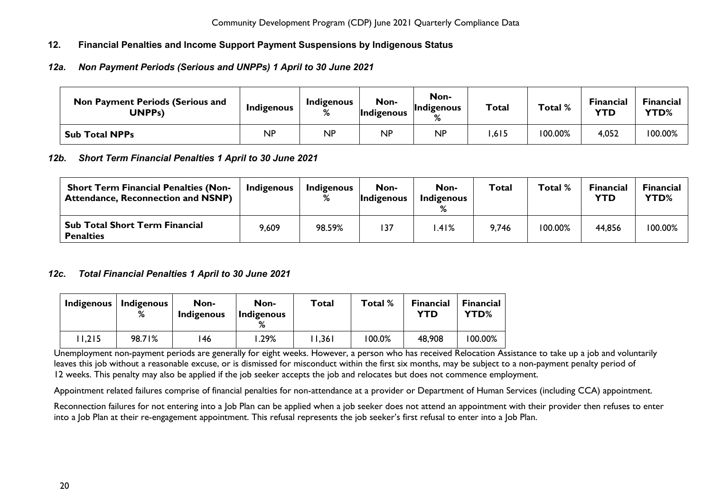### <span id="page-20-0"></span>**12. Financial Penalties and Income Support Payment Suspensions by Indigenous Status**

### <span id="page-20-1"></span>*12a. Non Payment Periods (Serious and UNPPs) 1 April to 30 June 2021*

| <b>Non Payment Periods (Serious and</b><br>UNPPs) | <b>Indigenous</b> | Indigenous<br>% | Non-<br><i>Indigenous</i> | Non-<br>Indigenous<br>$\mathsf{o}$ | <b>Total</b> | Total % | <b>Financial</b><br>YTD | Financial<br>YTD% |
|---------------------------------------------------|-------------------|-----------------|---------------------------|------------------------------------|--------------|---------|-------------------------|-------------------|
| <b>Sub Total NPPs</b>                             | NP                | <b>NP</b>       | <b>NP</b>                 | <b>NP</b>                          | ,615         | 100.00% | 4,052                   | 100.00%           |

#### <span id="page-20-2"></span>*12b. Short Term Financial Penalties 1 April to 30 June 2021*

| <b>Short Term Financial Penalties (Non-</b><br><b>Attendance, Reconnection and NSNP)</b> | Indigenous | Indigenous<br>% | Non-<br><i>Indigenous</i> | Non-<br>Indigenous | <b>Total</b> | Total % | <b>Financial</b><br><b>YTD</b> | <b>Financial</b><br><b>YTD%</b> |
|------------------------------------------------------------------------------------------|------------|-----------------|---------------------------|--------------------|--------------|---------|--------------------------------|---------------------------------|
| <b>Sub Total Short Term Financial</b><br><b>Penalties</b>                                | 9,609      | 98.59%          | 137                       | .41%               | 9,746        | 100.00% | 44,856                         | 100.00%                         |

### <span id="page-20-3"></span>*12c. Total Financial Penalties 1 April to 30 June 2021*

| Indigenous | Indigenous<br>% | Non-<br>Indigenous | Non-<br>Indigenous | Total  | Total %   | <b>Financial</b><br>YTD | <b>Financial</b><br><b>YTD%</b> |
|------------|-----------------|--------------------|--------------------|--------|-----------|-------------------------|---------------------------------|
| 1,215      | 98.71%          | 146                | .29%               | 11,361 | $100.0\%$ | 48,908                  | 100.00%                         |

Unemployment non-payment periods are generally for eight weeks. However, a person who has received Relocation Assistance to take up a job and voluntarily leaves this job without a reasonable excuse, or is dismissed for misconduct within the first six months, may be subject to a non-payment penalty period of 12 weeks. This penalty may also be applied if the job seeker accepts the job and relocates but does not commence employment.

Appointment related failures comprise of financial penalties for non-attendance at a provider or Department of Human Services (including CCA) appointment.

Reconnection failures for not entering into a lob Plan can be applied when a job seeker does not attend an appointment with their provider then refuses to enter into a Job Plan at their re-engagement appointment. This refusal represents the job seeker's first refusal to enter into a Job Plan.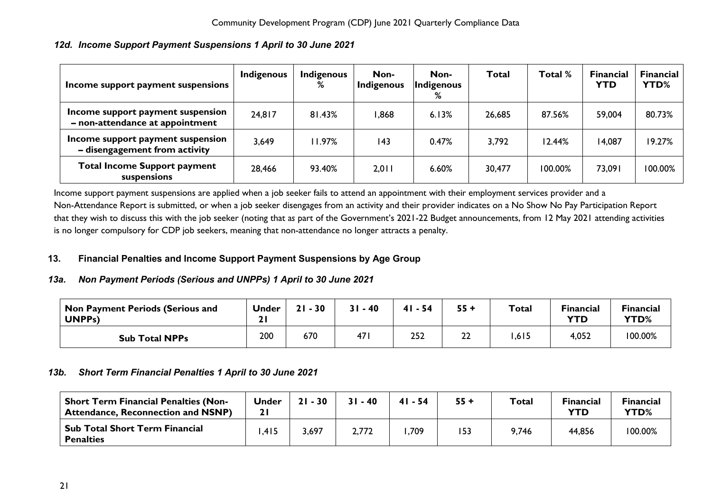| Income support payment suspensions                                   | Indigenous | Indigenous<br>℅ | Non-<br>Indigenous | Non-<br>Indigenous<br>% | <b>Total</b> | Total % | <b>Financial</b><br><b>YTD</b> | <b>Financial</b><br>YTD% |
|----------------------------------------------------------------------|------------|-----------------|--------------------|-------------------------|--------------|---------|--------------------------------|--------------------------|
| Income support payment suspension<br>- non-attendance at appointment | 24,817     | 81.43%          | 868, ا             | 6.13%                   | 26,685       | 87.56%  | 59,004                         | 80.73%                   |
| Income support payment suspension<br>- disengagement from activity   | 3,649      | 11.97%          | 143                | 0.47%                   | 3,792        | 12.44%  | 14,087                         | 19.27%                   |
| <b>Total Income Support payment</b><br>suspensions                   | 28,466     | 93.40%          | 2,011              | 6.60%                   | 30,477       | 100.00% | 73,091                         | 100.00%                  |

### <span id="page-21-0"></span>*12d. Income Support Payment Suspensions 1 April to 30 June 2021*

Income support payment suspensions are applied when a job seeker fails to attend an appointment with their employment services provider and a Non-Attendance Report is submitted, or when a job seeker disengages from an activity and their provider indicates on a No Show No Pay Participation Report that they wish to discuss this with the job seeker (noting that a*s* part of the Government's 2021-22 Budget announcements, from 12 May 2021 attending activities is no longer compulsory for CDP job seekers, meaning that non-attendance no longer attracts a penalty.

### <span id="page-21-1"></span>**13. Financial Penalties and Income Support Payment Suspensions by Age Group**

### <span id="page-21-2"></span>*13a. Non Payment Periods (Serious and UNPPs) 1 April to 30 June 2021*

| Non Payment Periods (Serious and<br>UNPP <sub>S</sub> ) | <b>Under</b> | $-30$<br>21 | $31 - 40$       | 41<br>$-54$ | 55 + | Total | <b>Financial</b><br><b>YTD</b> | <b>Financial</b><br>YTD% |
|---------------------------------------------------------|--------------|-------------|-----------------|-------------|------|-------|--------------------------------|--------------------------|
| <b>Sub Total NPPs</b>                                   | 200          | 670         | 47 <sub>I</sub> | 252         | 22   | ,615  | 4,052                          | 100.00%                  |

### <span id="page-21-3"></span>*13b. Short Term Financial Penalties 1 April to 30 June 2021*

| <b>Short Term Financial Penalties (Non-</b><br><b>Attendance, Reconnection and NSNP)</b> | Under | $21 - 30$ | $31 - 40$ | $41 - 54$ | $55 +$ | Total | <b>Financial</b><br>YTD | <b>Financial</b><br>YTD% |
|------------------------------------------------------------------------------------------|-------|-----------|-----------|-----------|--------|-------|-------------------------|--------------------------|
| Sub Total Short Term Financial<br><b>Penalties</b>                                       | .415  | 3,697     | 2,772     | ,709      | 153    | 9,746 | 44,856                  | 100.00%                  |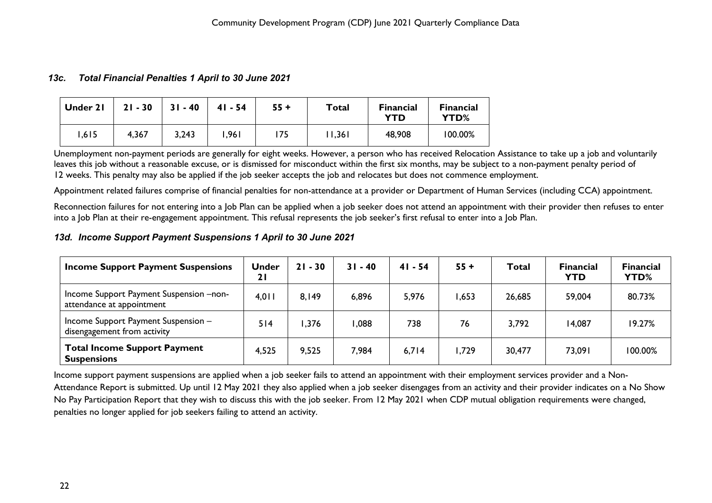#### <span id="page-22-0"></span>*13c. Total Financial Penalties 1 April to 30 June 2021*

| Under 21 | $21 - 30$ | $31 - 40$ | $41 - 54$ | $55 +$ | Total | <b>Financial</b><br><b>YTD</b> | <b>Financial</b><br>YTD% |
|----------|-----------|-----------|-----------|--------|-------|--------------------------------|--------------------------|
| 1,615    | 4,367     | 3,243     | ا 96. ا   | 175    | 1,36  | 48,908                         | 100.00%                  |

Unemployment non-payment periods are generally for eight weeks. However, a person who has received Relocation Assistance to take up a job and voluntarily leaves this job without a reasonable excuse, or is dismissed for misconduct within the first six months, may be subject to a non-payment penalty period of 12 weeks. This penalty may also be applied if the job seeker accepts the job and relocates but does not commence employment.

Appointment related failures comprise of financial penalties for non-attendance at a provider or Department of Human Services (including CCA) appointment.

Reconnection failures for not entering into a Job Plan can be applied when a job seeker does not attend an appointment with their provider then refuses to enter into a Job Plan at their re-engagement appointment. This refusal represents the job seeker's first refusal to enter into a Job Plan.

#### <span id="page-22-1"></span>*13d. Income Support Payment Suspensions 1 April to 30 June 2021*

| <b>Income Support Payment Suspensions</b>                            | <b>Under</b><br>21 | $21 - 30$ | $31 - 40$ | $41 - 54$ | $55 +$ | <b>Total</b> | <b>Financial</b><br><b>YTD</b> | <b>Financial</b><br><b>YTD%</b> |
|----------------------------------------------------------------------|--------------------|-----------|-----------|-----------|--------|--------------|--------------------------------|---------------------------------|
| Income Support Payment Suspension -non-<br>attendance at appointment | 4,011              | 8,149     | 6,896     | 5,976     | .653   | 26,685       | 59,004                         | 80.73%                          |
| Income Support Payment Suspension -<br>disengagement from activity   | 514                | ,376      | 880,1     | 738       | 76     | 3,792        | 14,087                         | 19.27%                          |
| <b>Total Income Support Payment</b><br><b>Suspensions</b>            | 4,525              | 9,525     | 7,984     | 6,714     | ,729   | 30,477       | 73,091                         | 100.00%                         |

Income support payment suspensions are applied when a job seeker fails to attend an appointment with their employment services provider and a Non-Attendance Report is submitted. Up until 12 May 2021 they also applied when a job seeker disengages from an activity and their provider indicates on a No Show No Pay Participation Report that they wish to discuss this with the job seeker. From 12 May 2021 when CDP mutual obligation requirements were changed, penalties no longer applied for job seekers failing to attend an activity.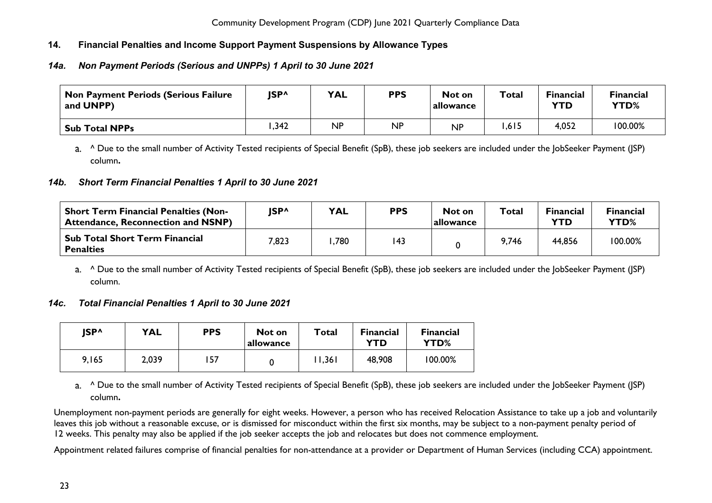### <span id="page-23-0"></span>**14. Financial Penalties and Income Support Payment Suspensions by Allowance Types**

### <span id="page-23-1"></span>*14a. Non Payment Periods (Serious and UNPPs) 1 April to 30 June 2021*

| <b>Non Payment Periods (Serious Failure</b><br>and UNPP) | JSP^ | <b>YAL</b> | <b>PPS</b> | Not on<br>allowance | Total | <b>Financial</b><br>YTD | <b>Financial</b><br>YTD% |
|----------------------------------------------------------|------|------------|------------|---------------------|-------|-------------------------|--------------------------|
| <b>Sub Total NPPs</b>                                    | .342 | <b>NP</b>  | <b>NP</b>  | <b>NP</b>           | ,615  | 4,052                   | 100.00%                  |

a. ^ Due to the small number of Activity Tested recipients of Special Benefit (SpB), these job seekers are included under the JobSeeker Payment (JSP) column**.**

#### <span id="page-23-2"></span>*14b. Short Term Financial Penalties 1 April to 30 June 2021*

| <b>Short Term Financial Penalties (Non-</b><br><b>Attendance, Reconnection and NSNP)</b> | <b>ISP^</b> | <b>YAL</b> | <b>PPS</b> | Not on<br> allowance | Total | <b>Financial</b><br>YTD | Financial<br>YTD% |
|------------------------------------------------------------------------------------------|-------------|------------|------------|----------------------|-------|-------------------------|-------------------|
| <b>Sub Total Short Term Financial</b><br><b>Penalties</b>                                | 7,823       | .780       | 143        |                      | 9,746 | 44,856                  | 100.00%           |

a. <sup>^</sup> Due to the small number of Activity Tested recipients of Special Benefit (SpB), these job seekers are included under the JobSeeker Payment (JSP) column.

#### <span id="page-23-3"></span>*14c. Total Financial Penalties 1 April to 30 June 2021*

| <b>ISP^</b> | <b>YAL</b> | <b>PPS</b> | Not on<br>allowance | Total | <b>Financial</b><br>YTD | <b>Financial</b><br>YTD% |
|-------------|------------|------------|---------------------|-------|-------------------------|--------------------------|
| 9,165       | 2,039      | .57        | 0                   | 1,361 | 48,908                  | 100.00%                  |

a. <sup>^</sup> Due to the small number of Activity Tested recipients of Special Benefit (SpB), these job seekers are included under the JobSeeker Payment (JSP) column**.**

Unemployment non-payment periods are generally for eight weeks. However, a person who has received Relocation Assistance to take up a job and voluntarily leaves this job without a reasonable excuse, or is dismissed for misconduct within the first six months, may be subject to a non-payment penalty period of 12 weeks. This penalty may also be applied if the job seeker accepts the job and relocates but does not commence employment.

Appointment related failures comprise of financial penalties for non-attendance at a provider or Department of Human Services (including CCA) appointment.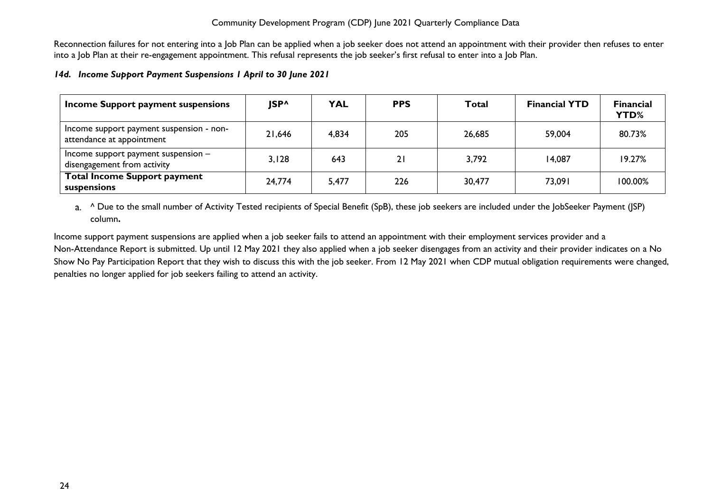Reconnection failures for not entering into a Job Plan can be applied when a job seeker does not attend an appointment with their provider then refuses to enter into a Job Plan at their re-engagement appointment. This refusal represents the job seeker's first refusal to enter into a Job Plan.

#### <span id="page-24-0"></span>*14d. Income Support Payment Suspensions 1 April to 30 June 2021*

| Income Support payment suspensions                                    | JSP^   | <b>YAL</b> | <b>PPS</b> | <b>Total</b> | <b>Financial YTD</b> | <b>Financial</b><br>YTD% |
|-----------------------------------------------------------------------|--------|------------|------------|--------------|----------------------|--------------------------|
| Income support payment suspension - non-<br>attendance at appointment | 21,646 | 4,834      | 205        | 26,685       | 59,004               | 80.73%                   |
| Income support payment suspension $-$<br>disengagement from activity  | 3,128  | 643        | 21         | 3,792        | 14,087               | 19.27%                   |
| <b>Total Income Support payment</b><br>suspensions                    | 24,774 | 5,477      | 226        | 30,477       | 73,091               | $100.00\%$               |

a. <sup>^</sup> Due to the small number of Activity Tested recipients of Special Benefit (SpB), these job seekers are included under the JobSeeker Payment (JSP) column**.**

Income support payment suspensions are applied when a job seeker fails to attend an appointment with their employment services provider and a Non-Attendance Report is submitted. Up until 12 May 2021 they also applied when a job seeker disengages from an activity and their provider indicates on a No Show No Pay Participation Report that they wish to discuss this with the job seeker. From 12 May 2021 when CDP mutual obligation requirements were changed, penalties no longer applied for job seekers failing to attend an activity.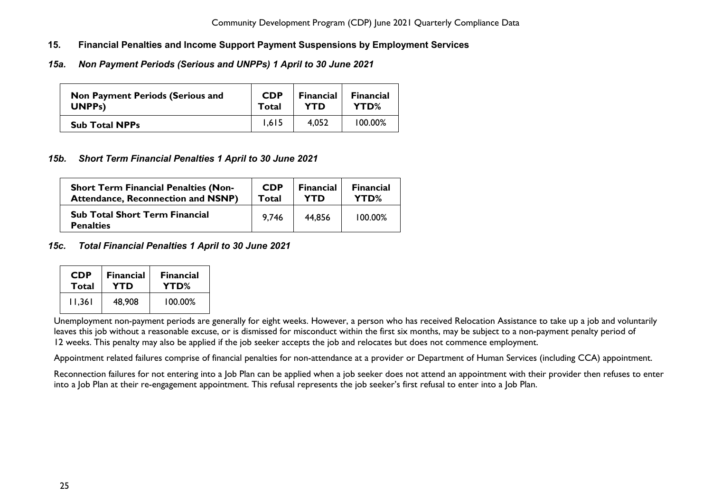- <span id="page-25-0"></span>**15. Financial Penalties and Income Support Payment Suspensions by Employment Services**
- <span id="page-25-1"></span>*15a. Non Payment Periods (Serious and UNPPs) 1 April to 30 June 2021*

| <b>Non Payment Periods (Serious and</b> | <b>CDP</b> | <b>Financial</b> | <b>Financial</b> |
|-----------------------------------------|------------|------------------|------------------|
| UNPP <sub>s</sub> )                     | Total      | YTD              | YTD%             |
| <b>Sub Total NPPs</b>                   | 1.615      | 4.052            | 100.00%          |

#### <span id="page-25-2"></span>*15b. Short Term Financial Penalties 1 April to 30 June 2021*

| <b>Short Term Financial Penalties (Non-</b>               | <b>CDP</b> | <b>Financial</b> | <b>Financial</b> |
|-----------------------------------------------------------|------------|------------------|------------------|
| <b>Attendance, Reconnection and NSNP)</b>                 | Total      | YTD              | YTD%             |
| <b>Sub Total Short Term Financial</b><br><b>Penalties</b> | 9.746      | 44.856           | 100.00%          |

#### <span id="page-25-3"></span>*15c. Total Financial Penalties 1 April to 30 June 2021*

| <b>CDP</b> | <b>Financial</b> | <b>Financial</b> |
|------------|------------------|------------------|
| Total      | YTD              | YTD%             |
| 11.361     | 48,908           | 100.00%          |

Unemployment non-payment periods are generally for eight weeks. However, a person who has received Relocation Assistance to take up a job and voluntarily leaves this job without a reasonable excuse, or is dismissed for misconduct within the first six months, may be subject to a non-payment penalty period of 12 weeks. This penalty may also be applied if the job seeker accepts the job and relocates but does not commence employment.

Appointment related failures comprise of financial penalties for non-attendance at a provider or Department of Human Services (including CCA) appointment.

Reconnection failures for not entering into a Job Plan can be applied when a job seeker does not attend an appointment with their provider then refuses to enter into a Job Plan at their re-engagement appointment. This refusal represents the job seeker's first refusal to enter into a Job Plan.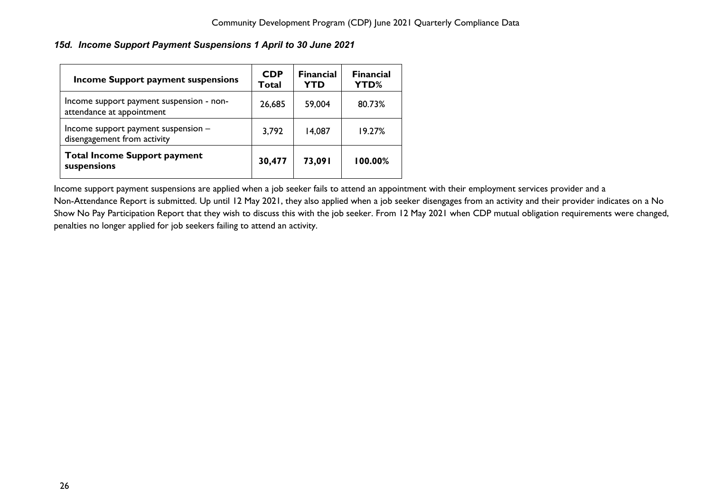<span id="page-26-0"></span>*15d. Income Support Payment Suspensions 1 April to 30 June 2021*

| <b>Income Support payment suspensions</b>                             | <b>CDP</b><br>Total | <b>Financial</b><br><b>YTD</b> | <b>Financial</b><br><b>YTD%</b> |
|-----------------------------------------------------------------------|---------------------|--------------------------------|---------------------------------|
| Income support payment suspension - non-<br>attendance at appointment | 26,685              | 59,004                         | 80.73%                          |
| Income support payment suspension -<br>disengagement from activity    | 3,792               | 14,087                         | 19.27%                          |
| <b>Total Income Support payment</b><br>suspensions                    | 30,477              | 73,091                         | 100.00%                         |

Income support payment suspensions are applied when a job seeker fails to attend an appointment with their employment services provider and a Non-Attendance Report is submitted. Up until 12 May 2021, they also applied when a job seeker disengages from an activity and their provider indicates on a No Show No Pay Participation Report that they wish to discuss this with the job seeker. From 12 May 2021 when CDP mutual obligation requirements were changed, penalties no longer applied for job seekers failing to attend an activity.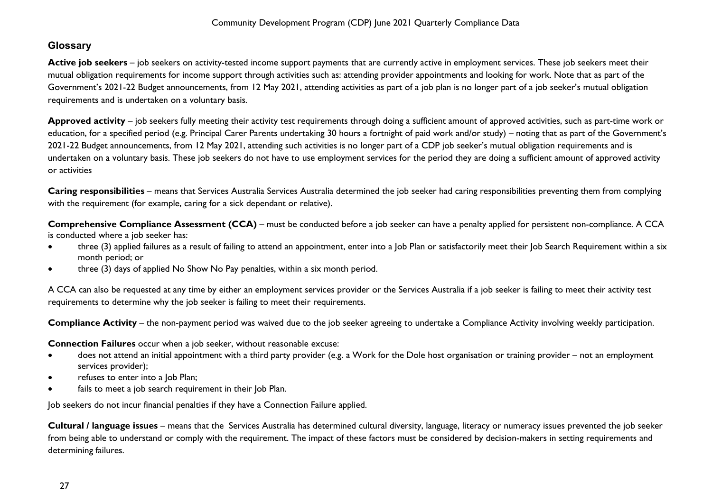## <span id="page-27-0"></span>**Glossary**

Active job seekers – job seekers on activity-tested income support payments that are currently active in employment services. These job seekers meet their mutual obligation requirements for income support through activities such as: attending provider appointments and looking for work. Note that as part of the Government's 2021-22 Budget announcements, from 12 May 2021, attending activities as part of a job plan is no longer part of a job seeker's mutual obligation requirements and is undertaken on a voluntary basis.

**Approved activity** – job seekers fully meeting their activity test requirements through doing a sufficient amount of approved activities, such as part-time work or education, for a specified period (e.g. Principal Carer Parents undertaking 30 hours a fortnight of paid work and/or study) – noting that as part of the Government's 2021-22 Budget announcements, from 12 May 2021, attending such activities is no longer part of a CDP job seeker's mutual obligation requirements and is undertaken on a voluntary basis. These job seekers do not have to use employment services for the period they are doing a sufficient amount of approved activity or activities

**Caring responsibilities** – means that Services Australia Services Australia determined the job seeker had caring responsibilities preventing them from complying with the requirement (for example, caring for a sick dependant or relative).

**Comprehensive Compliance Assessment (CCA)** – must be conducted before a job seeker can have a penalty applied for persistent non-compliance. A CCA is conducted where a job seeker has:

- three (3) applied failures as a result of failing to attend an appointment, enter into a Job Plan or satisfactorily meet their Job Search Requirement within a six month period; or
- three (3) days of applied No Show No Pay penalties, within a six month period.

A CCA can also be requested at any time by either an employment services provider or the Services Australia if a job seeker is failing to meet their activity test requirements to determine why the job seeker is failing to meet their requirements.

**Compliance Activity** – the non-payment period was waived due to the job seeker agreeing to undertake a Compliance Activity involving weekly participation.

**Connection Failures** occur when a job seeker, without reasonable excuse:

- does not attend an initial appointment with a third party provider (e.g. a Work for the Dole host organisation or training provider not an employment services provider);
- refuses to enter into a Job Plan;
- fails to meet a job search requirement in their Job Plan.

Job seekers do not incur financial penalties if they have a Connection Failure applied.

**Cultural / language issues** – means that the Services Australia has determined cultural diversity, language, literacy or numeracy issues prevented the job seeker from being able to understand or comply with the requirement. The impact of these factors must be considered by decision-makers in setting requirements and determining failures.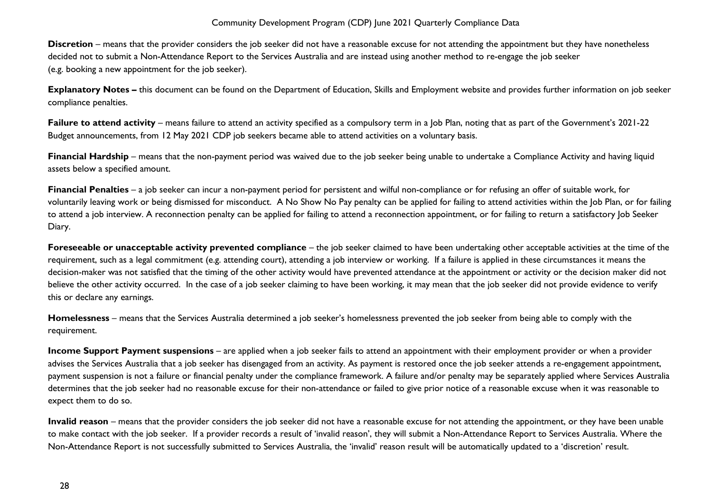**Discretion** – means that the provider considers the job seeker did not have a reasonable excuse for not attending the appointment but they have nonetheless decided not to submit a Non-Attendance Report to the Services Australia and are instead using another method to re-engage the job seeker (e.g. booking a new appointment for the job seeker).

**Explanatory Notes –** this document can be found on the Department of Education, Skills and Employment website and provides further information on job seeker compliance penalties.

Failure to attend activity – means failure to attend an activity specified as a compulsory term in a Job Plan, noting that as part of the Government's 2021-22 Budget announcements, from 12 May 2021 CDP job seekers became able to attend activities on a voluntary basis.

**Financial Hardship** – means that the non-payment period was waived due to the job seeker being unable to undertake a Compliance Activity and having liquid assets below a specified amount.

**Financial Penalties** – a job seeker can incur a non-payment period for persistent and wilful non-compliance or for refusing an offer of suitable work, for voluntarily leaving work or being dismissed for misconduct. A No Show No Pay penalty can be applied for failing to attend activities within the Job Plan, or for failing to attend a job interview. A reconnection penalty can be applied for failing to attend a reconnection appointment, or for failing to return a satisfactory Job Seeker Diary.

**Foreseeable or unacceptable activity prevented compliance** – the job seeker claimed to have been undertaking other acceptable activities at the time of the requirement, such as a legal commitment (e.g. attending court), attending a job interview or working. If a failure is applied in these circumstances it means the decision-maker was not satisfied that the timing of the other activity would have prevented attendance at the appointment or activity or the decision maker did not believe the other activity occurred. In the case of a job seeker claiming to have been working, it may mean that the job seeker did not provide evidence to verify this or declare any earnings.

**Homelessness** – means that the Services Australia determined a job seeker's homelessness prevented the job seeker from being able to comply with the requirement.

**Income Support Payment suspensions** – are applied when a job seeker fails to attend an appointment with their employment provider or when a provider advises the Services Australia that a job seeker has disengaged from an activity. As payment is restored once the job seeker attends a re-engagement appointment, payment suspension is not a failure or financial penalty under the compliance framework. A failure and/or penalty may be separately applied where Services Australia determines that the job seeker had no reasonable excuse for their non-attendance or failed to give prior notice of a reasonable excuse when it was reasonable to expect them to do so.

**Invalid reason** – means that the provider considers the job seeker did not have a reasonable excuse for not attending the appointment, or they have been unable to make contact with the job seeker. If a provider records a result of 'invalid reason', they will submit a Non-Attendance Report to Services Australia. Where the Non-Attendance Report is not successfully submitted to Services Australia, the 'invalid' reason result will be automatically updated to a 'discretion' result.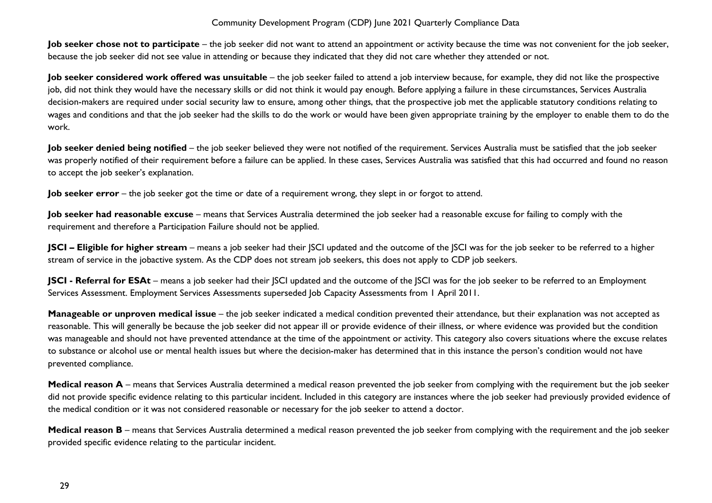**Job seeker chose not to participate** – the job seeker did not want to attend an appointment or activity because the time was not convenient for the job seeker, because the job seeker did not see value in attending or because they indicated that they did not care whether they attended or not.

**Job seeker considered work offered was unsuitable** – the job seeker failed to attend a job interview because, for example, they did not like the prospective job, did not think they would have the necessary skills or did not think it would pay enough. Before applying a failure in these circumstances, Services Australia decision-makers are required under social security law to ensure, among other things, that the prospective job met the applicable statutory conditions relating to wages and conditions and that the job seeker had the skills to do the work or would have been given appropriate training by the employer to enable them to do the work.

**Job seeker denied being notified** – the job seeker believed they were not notified of the requirement. Services Australia must be satisfied that the job seeker was properly notified of their requirement before a failure can be applied. In these cases, Services Australia was satisfied that this had occurred and found no reason to accept the job seeker's explanation.

**Job seeker error** – the job seeker got the time or date of a requirement wrong, they slept in or forgot to attend.

**Job seeker had reasonable excuse** – means that Services Australia determined the job seeker had a reasonable excuse for failing to comply with the requirement and therefore a Participation Failure should not be applied.

**JSCI – Eligible for higher stream** – means a job seeker had their JSCI updated and the outcome of the JSCI was for the job seeker to be referred to a higher stream of service in the jobactive system. As the CDP does not stream job seekers, this does not apply to CDP job seekers.

**JSCI** - **Referral for ESAt** – means a job seeker had their JSCI updated and the outcome of the JSCI was for the job seeker to be referred to an Employment Services Assessment. Employment Services Assessments superseded Job Capacity Assessments from 1 April 2011.

**Manageable or unproven medical issue** – the job seeker indicated a medical condition prevented their attendance, but their explanation was not accepted as reasonable. This will generally be because the job seeker did not appear ill or provide evidence of their illness, or where evidence was provided but the condition was manageable and should not have prevented attendance at the time of the appointment or activity. This category also covers situations where the excuse relates to substance or alcohol use or mental health issues but where the decision-maker has determined that in this instance the person's condition would not have prevented compliance.

Medical reason A – means that Services Australia determined a medical reason prevented the job seeker from complying with the requirement but the job seeker did not provide specific evidence relating to this particular incident. Included in this category are instances where the job seeker had previously provided evidence of the medical condition or it was not considered reasonable or necessary for the job seeker to attend a doctor.

Medical reason B – means that Services Australia determined a medical reason prevented the job seeker from complying with the requirement and the job seeker provided specific evidence relating to the particular incident.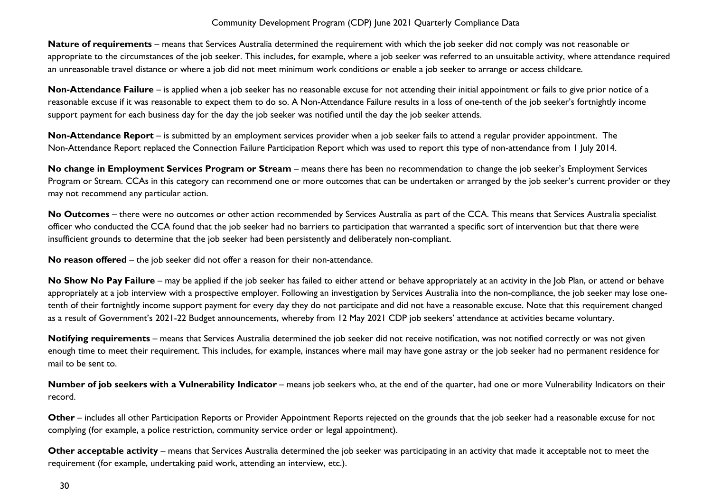**Nature of requirements** – means that Services Australia determined the requirement with which the job seeker did not comply was not reasonable or appropriate to the circumstances of the job seeker. This includes, for example, where a job seeker was referred to an unsuitable activity, where attendance required an unreasonable travel distance or where a job did not meet minimum work conditions or enable a job seeker to arrange or access childcare.

**Non-Attendance Failure** – is applied when a job seeker has no reasonable excuse for not attending their initial appointment or fails to give prior notice of a reasonable excuse if it was reasonable to expect them to do so. A Non-Attendance Failure results in a loss of one-tenth of the job seeker's fortnightly income support payment for each business day for the day the job seeker was notified until the day the job seeker attends.

**Non-Attendance Report** – is submitted by an employment services provider when a job seeker fails to attend a regular provider appointment. The Non-Attendance Report replaced the Connection Failure Participation Report which was used to report this type of non-attendance from 1 July 2014.

**No change in Employment Services Program or Stream** – means there has been no recommendation to change the job seeker's Employment Services Program or Stream. CCAs in this category can recommend one or more outcomes that can be undertaken or arranged by the job seeker's current provider or they may not recommend any particular action.

**No Outcomes** – there were no outcomes or other action recommended by Services Australia as part of the CCA. This means that Services Australia specialist officer who conducted the CCA found that the job seeker had no barriers to participation that warranted a specific sort of intervention but that there were insufficient grounds to determine that the job seeker had been persistently and deliberately non-compliant.

**No reason offered** – the job seeker did not offer a reason for their non-attendance.

No Show No Pay Failure – may be applied if the job seeker has failed to either attend or behave appropriately at an activity in the Job Plan, or attend or behave appropriately at a job interview with a prospective employer. Following an investigation by Services Australia into the non-compliance, the job seeker may lose onetenth of their fortnightly income support payment for every day they do not participate and did not have a reasonable excuse. Note that this requirement changed as a result of Government's 2021-22 Budget announcements, whereby from 12 May 2021 CDP job seekers' attendance at activities became voluntary.

**Notifying requirements** – means that Services Australia determined the job seeker did not receive notification, was not notified correctly or was not given enough time to meet their requirement. This includes, for example, instances where mail may have gone astray or the job seeker had no permanent residence for mail to be sent to.

**Number of job seekers with a Vulnerability Indicator** – means job seekers who, at the end of the quarter, had one or more Vulnerability Indicators on their record.

**Other** – includes all other Participation Reports or Provider Appointment Reports rejected on the grounds that the job seeker had a reasonable excuse for not complying (for example, a police restriction, community service order or legal appointment).

**Other acceptable activity** – means that Services Australia determined the job seeker was participating in an activity that made it acceptable not to meet the requirement (for example, undertaking paid work, attending an interview, etc.).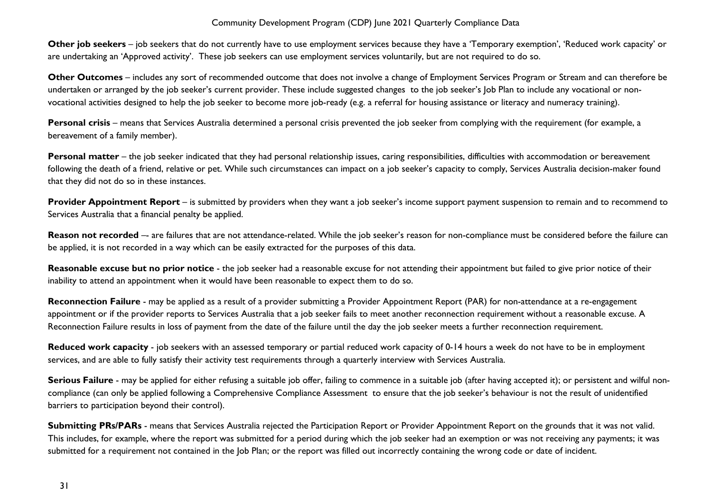**Other job seekers** – job seekers that do not currently have to use employment services because they have a 'Temporary exemption', 'Reduced work capacity' or are undertaking an 'Approved activity'. These job seekers can use employment services voluntarily, but are not required to do so.

**Other Outcomes** – includes any sort of recommended outcome that does not involve a change of Employment Services Program or Stream and can therefore be undertaken or arranged by the job seeker's current provider. These include suggested changes to the job seeker's Job Plan to include any vocational or nonvocational activities designed to help the job seeker to become more job-ready (e.g. a referral for housing assistance or literacy and numeracy training).

Personal crisis – means that Services Australia determined a personal crisis prevented the job seeker from complying with the requirement (for example, a bereavement of a family member).

Personal matter – the job seeker indicated that they had personal relationship issues, caring responsibilities, difficulties with accommodation or bereavement following the death of a friend, relative or pet. While such circumstances can impact on a job seeker's capacity to comply, Services Australia decision-maker found that they did not do so in these instances.

**Provider Appointment Report** – is submitted by providers when they want a job seeker's income support payment suspension to remain and to recommend to Services Australia that a financial penalty be applied.

**Reason not recorded** -- are failures that are not attendance-related. While the job seeker's reason for non-compliance must be considered before the failure can be applied, it is not recorded in a way which can be easily extracted for the purposes of this data.

**Reasonable excuse but no prior notice** - the job seeker had a reasonable excuse for not attending their appointment but failed to give prior notice of their inability to attend an appointment when it would have been reasonable to expect them to do so.

**Reconnection Failure** - may be applied as a result of a provider submitting a Provider Appointment Report (PAR) for non-attendance at a re-engagement appointment or if the provider reports to Services Australia that a job seeker fails to meet another reconnection requirement without a reasonable excuse. A Reconnection Failure results in loss of payment from the date of the failure until the day the job seeker meets a further reconnection requirement.

**Reduced work capacity** - job seekers with an assessed temporary or partial reduced work capacity of 0-14 hours a week do not have to be in employment services, and are able to fully satisfy their activity test requirements through a quarterly interview with Services Australia.

**Serious Failure** - may be applied for either refusing a suitable job offer, failing to commence in a suitable job (after having accepted it); or persistent and wilful noncompliance (can only be applied following a Comprehensive Compliance Assessment to ensure that the job seeker's behaviour is not the result of unidentified barriers to participation beyond their control).

**Submitting PRs/PARs** - means that Services Australia rejected the Participation Report or Provider Appointment Report on the grounds that it was not valid. This includes, for example, where the report was submitted for a period during which the job seeker had an exemption or was not receiving any payments; it was submitted for a requirement not contained in the Job Plan; or the report was filled out incorrectly containing the wrong code or date of incident.